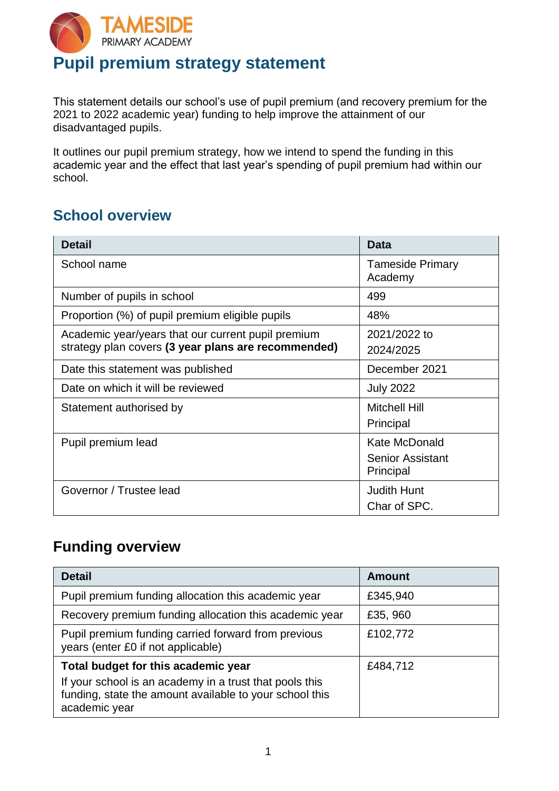

# **Pupil premium strategy statement**

This statement details our school's use of pupil premium (and recovery premium for the 2021 to 2022 academic year) funding to help improve the attainment of our disadvantaged pupils.

It outlines our pupil premium strategy, how we intend to spend the funding in this academic year and the effect that last year's spending of pupil premium had within our school.

### **School overview**

| <b>Detail</b>                                       | <b>Data</b>                        |
|-----------------------------------------------------|------------------------------------|
| School name                                         | <b>Tameside Primary</b><br>Academy |
| Number of pupils in school                          | 499                                |
| Proportion (%) of pupil premium eligible pupils     | 48%                                |
| Academic year/years that our current pupil premium  | 2021/2022 to                       |
| strategy plan covers (3 year plans are recommended) | 2024/2025                          |
| Date this statement was published                   | December 2021                      |
| Date on which it will be reviewed                   | <b>July 2022</b>                   |
| Statement authorised by                             | <b>Mitchell Hill</b>               |
|                                                     | Principal                          |
| Pupil premium lead                                  | Kate McDonald                      |
|                                                     | <b>Senior Assistant</b>            |
|                                                     | Principal                          |
| Governor / Trustee lead                             | <b>Judith Hunt</b>                 |
|                                                     | Char of SPC.                       |

### **Funding overview**

| <b>Detail</b>                                                                                                                                                              | <b>Amount</b> |
|----------------------------------------------------------------------------------------------------------------------------------------------------------------------------|---------------|
| Pupil premium funding allocation this academic year                                                                                                                        | £345,940      |
| Recovery premium funding allocation this academic year                                                                                                                     | £35, 960      |
| Pupil premium funding carried forward from previous<br>years (enter £0 if not applicable)                                                                                  | £102,772      |
| Total budget for this academic year<br>If your school is an academy in a trust that pools this<br>funding, state the amount available to your school this<br>academic year | £484,712      |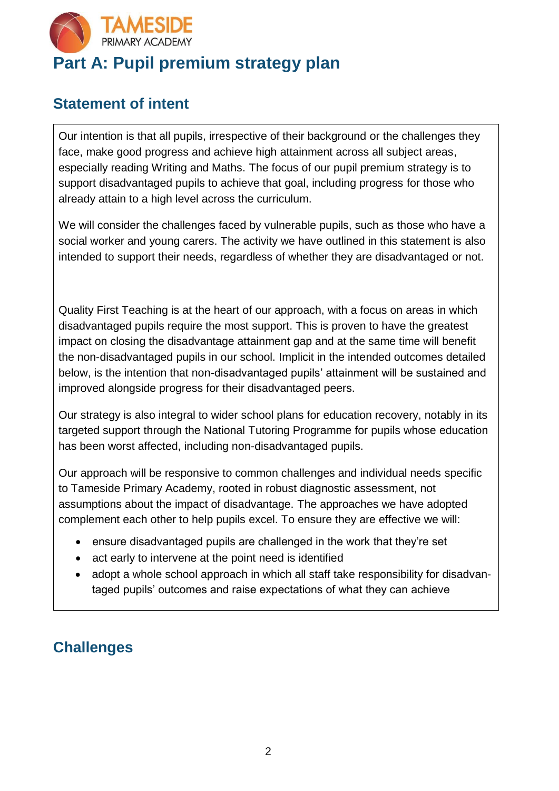

## **Statement of intent**

Our intention is that all pupils, irrespective of their background or the challenges they face, make good progress and achieve high attainment across all subject areas, especially reading Writing and Maths. The focus of our pupil premium strategy is to support disadvantaged pupils to achieve that goal, including progress for those who already attain to a high level across the curriculum.

We will consider the challenges faced by vulnerable pupils, such as those who have a social worker and young carers. The activity we have outlined in this statement is also intended to support their needs, regardless of whether they are disadvantaged or not.

Quality First Teaching is at the heart of our approach, with a focus on areas in which disadvantaged pupils require the most support. This is proven to have the greatest impact on closing the disadvantage attainment gap and at the same time will benefit the non-disadvantaged pupils in our school. Implicit in the intended outcomes detailed below, is the intention that non-disadvantaged pupils' attainment will be sustained and improved alongside progress for their disadvantaged peers.

Our strategy is also integral to wider school plans for education recovery, notably in its targeted support through the National Tutoring Programme for pupils whose education has been worst affected, including non-disadvantaged pupils.

Our approach will be responsive to common challenges and individual needs specific to Tameside Primary Academy, rooted in robust diagnostic assessment, not assumptions about the impact of disadvantage. The approaches we have adopted complement each other to help pupils excel. To ensure they are effective we will:

- ensure disadvantaged pupils are challenged in the work that they're set
- act early to intervene at the point need is identified
- adopt a whole school approach in which all staff take responsibility for disadvantaged pupils' outcomes and raise expectations of what they can achieve

# **Challenges**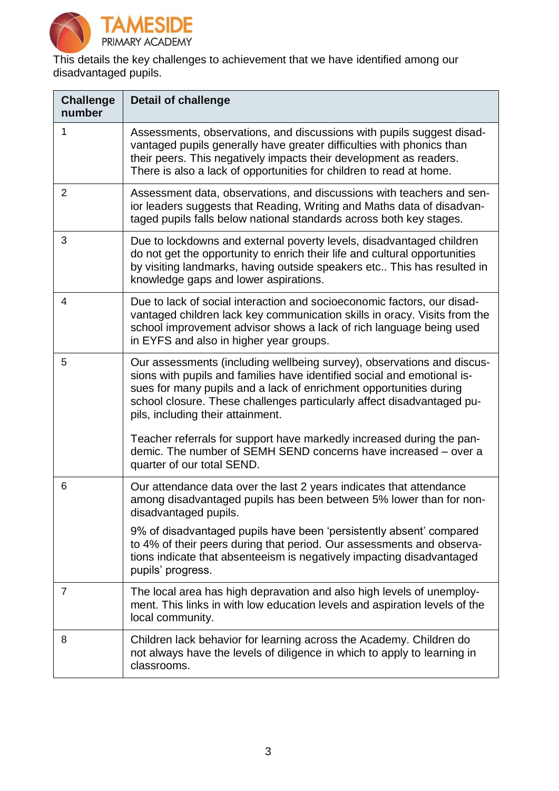

This details the key challenges to achievement that we have identified among our disadvantaged pupils.

| <b>Challenge</b><br>number | <b>Detail of challenge</b>                                                                                                                                                                                                                                                                                                             |
|----------------------------|----------------------------------------------------------------------------------------------------------------------------------------------------------------------------------------------------------------------------------------------------------------------------------------------------------------------------------------|
| 1                          | Assessments, observations, and discussions with pupils suggest disad-<br>vantaged pupils generally have greater difficulties with phonics than<br>their peers. This negatively impacts their development as readers.<br>There is also a lack of opportunities for children to read at home.                                            |
| $\overline{2}$             | Assessment data, observations, and discussions with teachers and sen-<br>ior leaders suggests that Reading, Writing and Maths data of disadvan-<br>taged pupils falls below national standards across both key stages.                                                                                                                 |
| 3                          | Due to lockdowns and external poverty levels, disadvantaged children<br>do not get the opportunity to enrich their life and cultural opportunities<br>by visiting landmarks, having outside speakers etc This has resulted in<br>knowledge gaps and lower aspirations.                                                                 |
| $\overline{4}$             | Due to lack of social interaction and socioeconomic factors, our disad-<br>vantaged children lack key communication skills in oracy. Visits from the<br>school improvement advisor shows a lack of rich language being used<br>in EYFS and also in higher year groups.                                                                 |
| 5                          | Our assessments (including wellbeing survey), observations and discus-<br>sions with pupils and families have identified social and emotional is-<br>sues for many pupils and a lack of enrichment opportunities during<br>school closure. These challenges particularly affect disadvantaged pu-<br>pils, including their attainment. |
|                            | Teacher referrals for support have markedly increased during the pan-<br>demic. The number of SEMH SEND concerns have increased - over a<br>quarter of our total SEND.                                                                                                                                                                 |
| 6                          | Our attendance data over the last 2 years indicates that attendance<br>among disadvantaged pupils has been between 5% lower than for non-<br>disadvantaged pupils.                                                                                                                                                                     |
|                            | 9% of disadvantaged pupils have been 'persistently absent' compared<br>to 4% of their peers during that period. Our assessments and observa-<br>tions indicate that absenteeism is negatively impacting disadvantaged<br>pupils' progress.                                                                                             |
| 7                          | The local area has high depravation and also high levels of unemploy-<br>ment. This links in with low education levels and aspiration levels of the<br>local community.                                                                                                                                                                |
| 8                          | Children lack behavior for learning across the Academy. Children do<br>not always have the levels of diligence in which to apply to learning in<br>classrooms.                                                                                                                                                                         |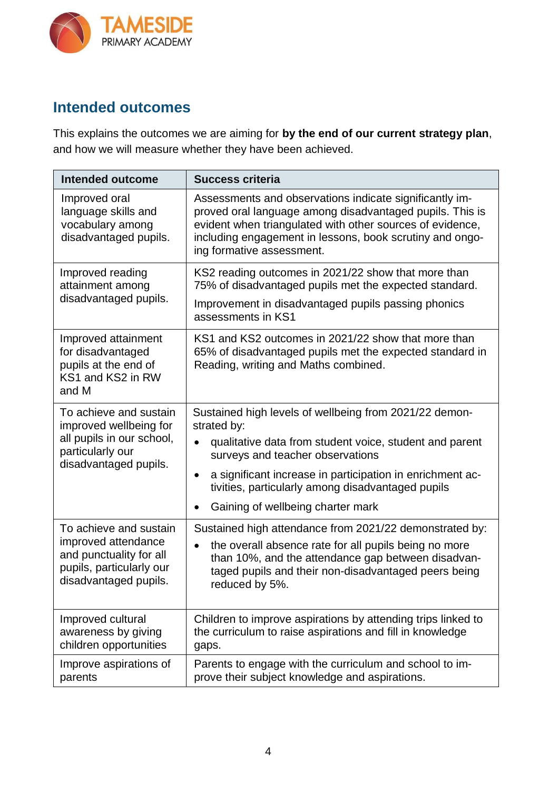

#### **Intended outcomes**

This explains the outcomes we are aiming for **by the end of our current strategy plan**, and how we will measure whether they have been achieved.

| <b>Intended outcome</b>                                                                                                       | <b>Success criteria</b>                                                                                                                                                                                                                                                                                                                  |
|-------------------------------------------------------------------------------------------------------------------------------|------------------------------------------------------------------------------------------------------------------------------------------------------------------------------------------------------------------------------------------------------------------------------------------------------------------------------------------|
| Improved oral<br>language skills and<br>vocabulary among<br>disadvantaged pupils.                                             | Assessments and observations indicate significantly im-<br>proved oral language among disadvantaged pupils. This is<br>evident when triangulated with other sources of evidence,<br>including engagement in lessons, book scrutiny and ongo-<br>ing formative assessment.                                                                |
| Improved reading<br>attainment among<br>disadvantaged pupils.                                                                 | KS2 reading outcomes in 2021/22 show that more than<br>75% of disadvantaged pupils met the expected standard.<br>Improvement in disadvantaged pupils passing phonics<br>assessments in KS1                                                                                                                                               |
| Improved attainment<br>for disadvantaged<br>pupils at the end of<br>KS1 and KS2 in RW<br>and M                                | KS1 and KS2 outcomes in 2021/22 show that more than<br>65% of disadvantaged pupils met the expected standard in<br>Reading, writing and Maths combined.                                                                                                                                                                                  |
| To achieve and sustain<br>improved wellbeing for<br>all pupils in our school,<br>particularly our<br>disadvantaged pupils.    | Sustained high levels of wellbeing from 2021/22 demon-<br>strated by:<br>qualitative data from student voice, student and parent<br>$\bullet$<br>surveys and teacher observations<br>a significant increase in participation in enrichment ac-<br>tivities, particularly among disadvantaged pupils<br>Gaining of wellbeing charter mark |
| To achieve and sustain<br>improved attendance<br>and punctuality for all<br>pupils, particularly our<br>disadvantaged pupils. | Sustained high attendance from 2021/22 demonstrated by:<br>the overall absence rate for all pupils being no more<br>$\bullet$<br>than 10%, and the attendance gap between disadvan-<br>taged pupils and their non-disadvantaged peers being<br>reduced by 5%.                                                                            |
| Improved cultural<br>awareness by giving<br>children opportunities                                                            | Children to improve aspirations by attending trips linked to<br>the curriculum to raise aspirations and fill in knowledge<br>gaps.                                                                                                                                                                                                       |
| Improve aspirations of<br>parents                                                                                             | Parents to engage with the curriculum and school to im-<br>prove their subject knowledge and aspirations.                                                                                                                                                                                                                                |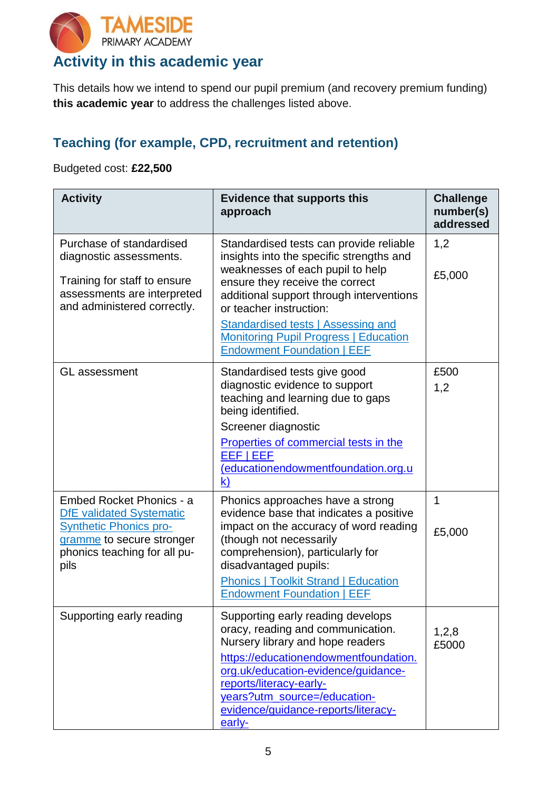

# **Activity in this academic year**

This details how we intend to spend our pupil premium (and recovery premium funding) **this academic year** to address the challenges listed above.

#### **Teaching (for example, CPD, recruitment and retention)**

Budgeted cost: **£22,500**

| <b>Activity</b>                                                                                                                                                   | <b>Evidence that supports this</b><br>approach                                                                                                                                                                                                                                                                                                               | <b>Challenge</b><br>number(s)<br>addressed |
|-------------------------------------------------------------------------------------------------------------------------------------------------------------------|--------------------------------------------------------------------------------------------------------------------------------------------------------------------------------------------------------------------------------------------------------------------------------------------------------------------------------------------------------------|--------------------------------------------|
| Purchase of standardised<br>diagnostic assessments.<br>Training for staff to ensure<br>assessments are interpreted<br>and administered correctly.                 | Standardised tests can provide reliable<br>insights into the specific strengths and<br>weaknesses of each pupil to help<br>ensure they receive the correct<br>additional support through interventions<br>or teacher instruction:<br>Standardised tests   Assessing and<br><b>Monitoring Pupil Progress   Education</b><br><b>Endowment Foundation   EEF</b> | 1,2<br>£5,000                              |
| <b>GL</b> assessment                                                                                                                                              | Standardised tests give good<br>diagnostic evidence to support<br>teaching and learning due to gaps<br>being identified.<br>Screener diagnostic<br>Properties of commercial tests in the<br>EEF   EEF<br>(educationendowmentfoundation.org.u<br>$\mathsf{k}$                                                                                                 | £500<br>1,2                                |
| Embed Rocket Phonics - a<br><b>DfE</b> validated Systematic<br><b>Synthetic Phonics pro-</b><br>gramme to secure stronger<br>phonics teaching for all pu-<br>pils | Phonics approaches have a strong<br>evidence base that indicates a positive<br>impact on the accuracy of word reading<br>(though not necessarily<br>comprehension), particularly for<br>disadvantaged pupils:<br><b>Phonics   Toolkit Strand   Education</b><br><b>Endowment Foundation   EEF</b>                                                            | 1<br>£5,000                                |
| Supporting early reading                                                                                                                                          | Supporting early reading develops<br>oracy, reading and communication.<br>Nursery library and hope readers<br>https://educationendowmentfoundation.<br>org.uk/education-evidence/guidance-<br>reports/literacy-early-<br>years?utm_source=/education-<br>evidence/guidance-reports/literacy-<br>early-                                                       | 1,2,8<br>£5000                             |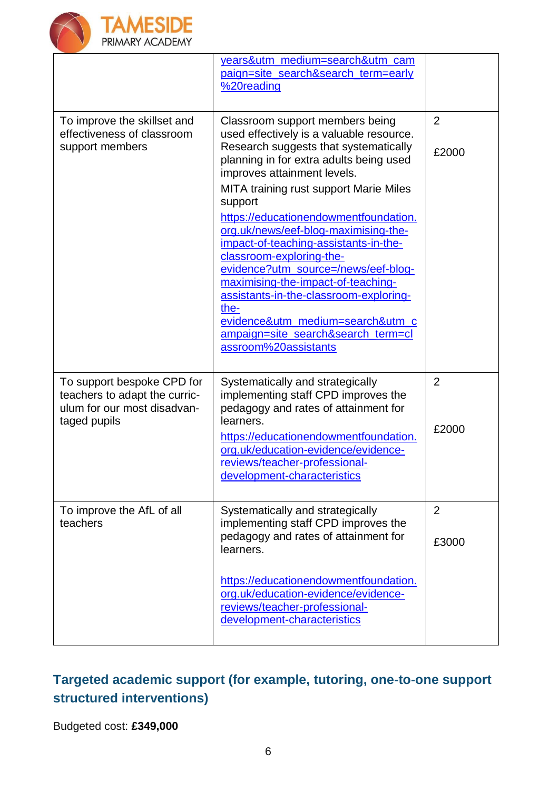

|                                                                                                            | years&utm_medium=search&utm_cam<br>paign=site_search&search_term=early<br>%20reading                                                                                                                                                                                                                                                                                                                                                                                                                                                                                                                                                              |                         |
|------------------------------------------------------------------------------------------------------------|---------------------------------------------------------------------------------------------------------------------------------------------------------------------------------------------------------------------------------------------------------------------------------------------------------------------------------------------------------------------------------------------------------------------------------------------------------------------------------------------------------------------------------------------------------------------------------------------------------------------------------------------------|-------------------------|
| To improve the skillset and<br>effectiveness of classroom<br>support members                               | Classroom support members being<br>used effectively is a valuable resource.<br>Research suggests that systematically<br>planning in for extra adults being used<br>improves attainment levels.<br><b>MITA training rust support Marie Miles</b><br>support<br>https://educationendowmentfoundation.<br>org.uk/news/eef-blog-maximising-the-<br>impact-of-teaching-assistants-in-the-<br>classroom-exploring-the-<br>evidence?utm_source=/news/eef-blog-<br>maximising-the-impact-of-teaching-<br>assistants-in-the-classroom-exploring-<br>the-<br>evidence&utm_medium=search&utm_c<br>ampaign=site_search&search_term=cl<br>assroom%20assistants | $\overline{2}$<br>£2000 |
| To support bespoke CPD for<br>teachers to adapt the curric-<br>ulum for our most disadvan-<br>taged pupils | Systematically and strategically<br>implementing staff CPD improves the<br>pedagogy and rates of attainment for<br>learners.<br>https://educationendowmentfoundation.<br>org.uk/education-evidence/evidence-<br>reviews/teacher-professional-<br>development-characteristics                                                                                                                                                                                                                                                                                                                                                                      | 2<br>£2000              |
| To improve the AfL of all<br>teachers                                                                      | Systematically and strategically<br>implementing staff CPD improves the<br>pedagogy and rates of attainment for<br>learners.<br>https://educationendowmentfoundation.<br>org.uk/education-evidence/evidence-<br>reviews/teacher-professional-<br>development-characteristics                                                                                                                                                                                                                                                                                                                                                                      | $\overline{2}$<br>£3000 |

### **Targeted academic support (for example, tutoring, one-to-one support structured interventions)**

Budgeted cost: **£349,000**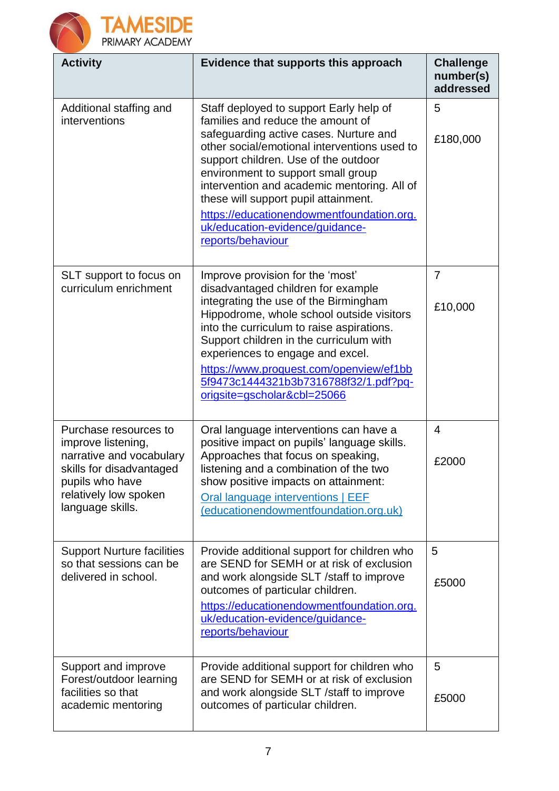



| <b>Activity</b>                                                                                                                                                     | Evidence that supports this approach                                                                                                                                                                                                                                                                                                                                                                                                             | <b>Challenge</b><br>number(s)<br>addressed |
|---------------------------------------------------------------------------------------------------------------------------------------------------------------------|--------------------------------------------------------------------------------------------------------------------------------------------------------------------------------------------------------------------------------------------------------------------------------------------------------------------------------------------------------------------------------------------------------------------------------------------------|--------------------------------------------|
| Additional staffing and<br>interventions                                                                                                                            | Staff deployed to support Early help of<br>families and reduce the amount of<br>safeguarding active cases. Nurture and<br>other social/emotional interventions used to<br>support children. Use of the outdoor<br>environment to support small group<br>intervention and academic mentoring. All of<br>these will support pupil attainment.<br>https://educationendowmentfoundation.org.<br>uk/education-evidence/guidance-<br>reports/behaviour | 5<br>£180,000                              |
| SLT support to focus on<br>curriculum enrichment                                                                                                                    | Improve provision for the 'most'<br>disadvantaged children for example<br>integrating the use of the Birmingham<br>Hippodrome, whole school outside visitors<br>into the curriculum to raise aspirations.<br>Support children in the curriculum with<br>experiences to engage and excel.<br>https://www.proquest.com/openview/ef1bb<br>5f9473c1444321b3b7316788f32/1.pdf?pq-<br>origsite=gscholar&cbl=25066                                      | $\overline{7}$<br>£10,000                  |
| Purchase resources to<br>improve listening,<br>narrative and vocabulary<br>skills for disadvantaged<br>pupils who have<br>relatively low spoken<br>language skills. | Oral language interventions can have a<br>positive impact on pupils' language skills.<br>Approaches that focus on speaking,<br>listening and a combination of the two<br>show positive impacts on attainment:<br>Oral language interventions   EEF<br>(educationendowmentfoundation.org.uk)                                                                                                                                                      | 4<br>£2000                                 |
| <b>Support Nurture facilities</b><br>so that sessions can be<br>delivered in school.                                                                                | Provide additional support for children who<br>are SEND for SEMH or at risk of exclusion<br>and work alongside SLT /staff to improve<br>outcomes of particular children.<br>https://educationendowmentfoundation.org.<br>uk/education-evidence/guidance-<br>reports/behaviour                                                                                                                                                                    | 5<br>£5000                                 |
| Support and improve<br>Forest/outdoor learning<br>facilities so that<br>academic mentoring                                                                          | Provide additional support for children who<br>are SEND for SEMH or at risk of exclusion<br>and work alongside SLT / staff to improve<br>outcomes of particular children.                                                                                                                                                                                                                                                                        | 5<br>£5000                                 |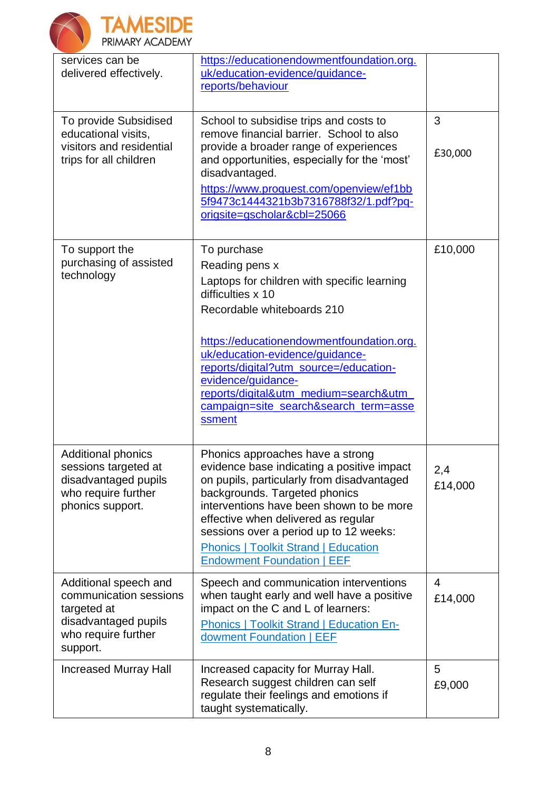



| services can be<br>delivered effectively.                                                                                 | https://educationendowmentfoundation.org.<br>uk/education-evidence/guidance-<br>reports/behaviour                                                                                                                                                                                                                                                                              |                           |
|---------------------------------------------------------------------------------------------------------------------------|--------------------------------------------------------------------------------------------------------------------------------------------------------------------------------------------------------------------------------------------------------------------------------------------------------------------------------------------------------------------------------|---------------------------|
| To provide Subsidised<br>educational visits,<br>visitors and residential<br>trips for all children                        | School to subsidise trips and costs to<br>remove financial barrier. School to also<br>provide a broader range of experiences<br>and opportunities, especially for the 'most'<br>disadvantaged.<br>https://www.proquest.com/openview/ef1bb<br>5f9473c1444321b3b7316788f32/1.pdf?pq-<br>origsite=gscholar&cbl=25066                                                              | 3<br>£30,000              |
| To support the<br>purchasing of assisted<br>technology                                                                    | To purchase<br>Reading pens x<br>Laptops for children with specific learning<br>difficulties x 10<br>Recordable whiteboards 210<br>https://educationendowmentfoundation.org.<br>uk/education-evidence/guidance-<br>reports/digital?utm_source=/education-<br>evidence/guidance-<br>reports/digital&utm_medium=search&utm<br>campaign=site_search&search_term=asse<br>ssment    | £10,000                   |
| <b>Additional phonics</b><br>sessions targeted at<br>disadvantaged pupils<br>who require further<br>phonics support.      | Phonics approaches have a strong<br>evidence base indicating a positive impact<br>on pupils, particularly from disadvantaged<br>backgrounds. Targeted phonics<br>interventions have been shown to be more<br>effective when delivered as regular<br>sessions over a period up to 12 weeks:<br><b>Phonics   Toolkit Strand   Education</b><br><b>Endowment Foundation   EEF</b> | 2,4<br>£14,000            |
| Additional speech and<br>communication sessions<br>targeted at<br>disadvantaged pupils<br>who require further<br>support. | Speech and communication interventions<br>when taught early and well have a positive<br>impact on the C and L of learners:<br><b>Phonics   Toolkit Strand   Education En-</b><br>dowment Foundation   EEF                                                                                                                                                                      | $\overline{4}$<br>£14,000 |
| <b>Increased Murray Hall</b>                                                                                              | Increased capacity for Murray Hall.<br>Research suggest children can self<br>regulate their feelings and emotions if<br>taught systematically.                                                                                                                                                                                                                                 | 5<br>£9,000               |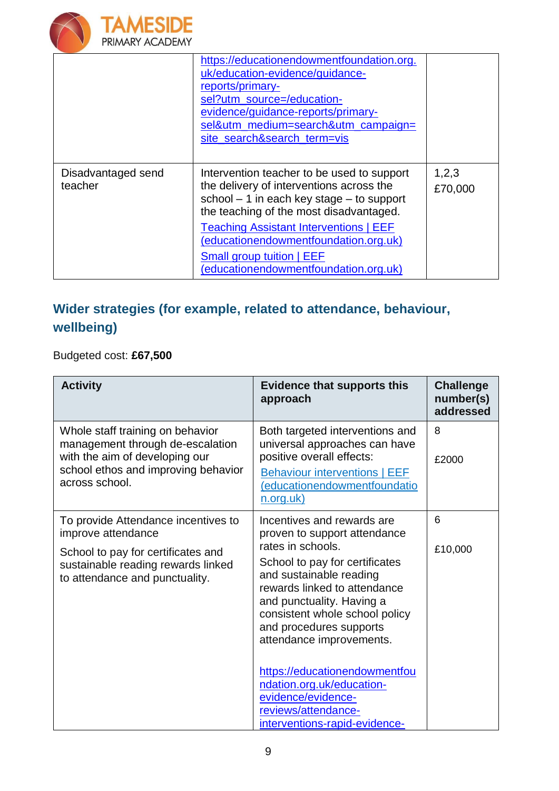

|                               | https://educationendowmentfoundation.org.<br>uk/education-evidence/guidance-<br>reports/primary-<br>sel?utm_source=/education-<br>evidence/guidance-reports/primary-<br>sel&utm_medium=search&utm_campaign=<br>site_search&search_term=vis                                                                                                               |                  |
|-------------------------------|----------------------------------------------------------------------------------------------------------------------------------------------------------------------------------------------------------------------------------------------------------------------------------------------------------------------------------------------------------|------------------|
| Disadvantaged send<br>teacher | Intervention teacher to be used to support<br>the delivery of interventions across the<br>school $-1$ in each key stage $-$ to support<br>the teaching of the most disadvantaged.<br><b>Teaching Assistant Interventions   EEF</b><br>(educationendowmentfoundation.org.uk)<br><b>Small group tuition   EEF</b><br>(educationendowmentfoundation.org.uk) | 1,2,3<br>£70,000 |

## **Wider strategies (for example, related to attendance, behaviour, wellbeing)**

Budgeted cost: **£67,500**

| <b>Activity</b>                                                                                                                                                 | <b>Evidence that supports this</b><br>approach                                                                                                                                                                                       | <b>Challenge</b><br>number(s)<br>addressed |
|-----------------------------------------------------------------------------------------------------------------------------------------------------------------|--------------------------------------------------------------------------------------------------------------------------------------------------------------------------------------------------------------------------------------|--------------------------------------------|
| Whole staff training on behavior<br>management through de-escalation<br>with the aim of developing our<br>school ethos and improving behavior<br>across school. | Both targeted interventions and<br>universal approaches can have<br>positive overall effects:<br><b>Behaviour interventions   EEF</b><br>(educationendowmentfoundatio<br><u>n.org.uk)</u>                                            | 8<br>£2000                                 |
| To provide Attendance incentives to<br>improve attendance                                                                                                       | Incentives and rewards are<br>proven to support attendance                                                                                                                                                                           | 6                                          |
| School to pay for certificates and<br>sustainable reading rewards linked<br>to attendance and punctuality.                                                      | rates in schools.<br>School to pay for certificates<br>and sustainable reading<br>rewards linked to attendance<br>and punctuality. Having a<br>consistent whole school policy<br>and procedures supports<br>attendance improvements. | £10,000                                    |
|                                                                                                                                                                 | https://educationendowmentfou<br>ndation.org.uk/education-<br>evidence/evidence-<br>reviews/attendance-<br>interventions-rapid-evidence-                                                                                             |                                            |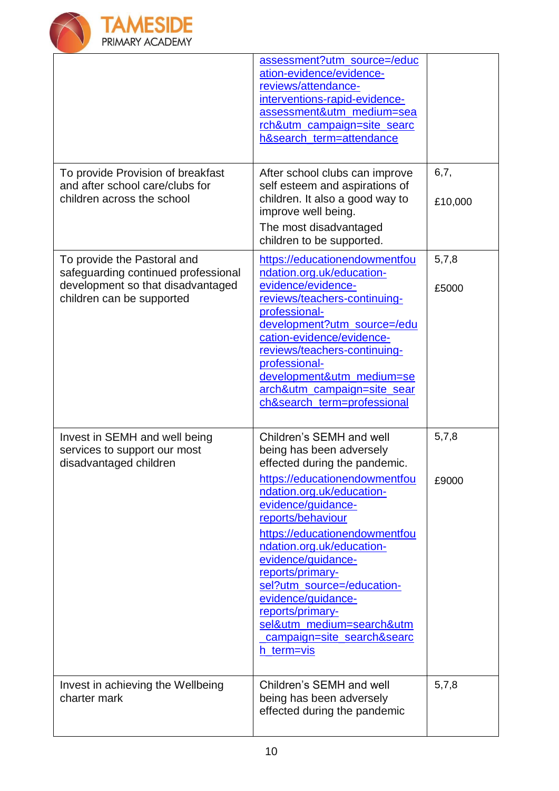

|                                                                                                                                      | assessment?utm_source=/educ<br>ation-evidence/evidence-<br>reviews/attendance-<br>interventions-rapid-evidence-<br>assessment&utm_medium=sea<br>rch&utm_campaign=site_searc<br>h&search_term=attendance                                                                                                                                   |                 |
|--------------------------------------------------------------------------------------------------------------------------------------|-------------------------------------------------------------------------------------------------------------------------------------------------------------------------------------------------------------------------------------------------------------------------------------------------------------------------------------------|-----------------|
| To provide Provision of breakfast<br>and after school care/clubs for<br>children across the school                                   | After school clubs can improve<br>self esteem and aspirations of<br>children. It also a good way to<br>improve well being.<br>The most disadvantaged<br>children to be supported.                                                                                                                                                         | 6,7,<br>£10,000 |
| To provide the Pastoral and<br>safeguarding continued professional<br>development so that disadvantaged<br>children can be supported | https://educationendowmentfou<br>ndation.org.uk/education-<br>evidence/evidence-<br>reviews/teachers-continuing-<br>professional-<br>development?utm_source=/edu<br>cation-evidence/evidence-<br>reviews/teachers-continuing-<br>professional-<br>development&utm_medium=se<br>arch&utm_campaign=site_sear<br>ch&search_term=professional | 5,7,8<br>£5000  |
| Invest in SEMH and well being<br>services to support our most<br>disadvantaged children                                              | Children's SEMH and well<br>being has been adversely<br>effected during the pandemic.<br>https://educationendowmentfou                                                                                                                                                                                                                    | 5,7,8<br>£9000  |
|                                                                                                                                      | ndation.org.uk/education-<br>evidence/guidance-<br>reports/behaviour<br>https://educationendowmentfou<br>ndation.org.uk/education-<br>evidence/guidance-<br>reports/primary-<br>sel?utm_source=/education-<br>evidence/guidance-<br>reports/primary-<br>sel&utm_medium=search&utm<br>campaign=site_search&searc<br>h term=vis             |                 |
| Invest in achieving the Wellbeing<br>charter mark                                                                                    | Children's SEMH and well<br>being has been adversely<br>effected during the pandemic                                                                                                                                                                                                                                                      | 5,7,8           |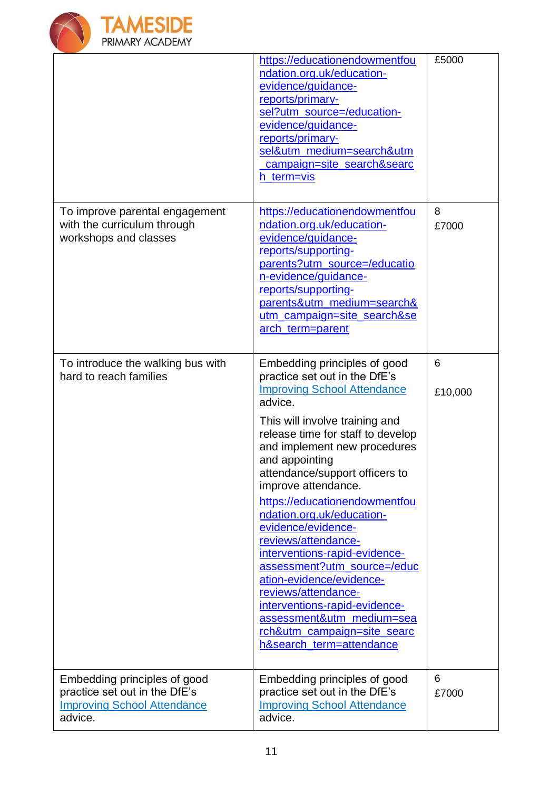

|                                                                                                                | https://educationendowmentfou<br>ndation.org.uk/education-<br>evidence/guidance-<br>reports/primary-<br>sel?utm_source=/education-<br>evidence/guidance-<br>reports/primary-<br>sel&utm medium=search&utm<br>campaign=site_search&searc<br>h_term=vis                                                                                                                                                                                                                                                                                                                                                                                                   | £5000        |
|----------------------------------------------------------------------------------------------------------------|---------------------------------------------------------------------------------------------------------------------------------------------------------------------------------------------------------------------------------------------------------------------------------------------------------------------------------------------------------------------------------------------------------------------------------------------------------------------------------------------------------------------------------------------------------------------------------------------------------------------------------------------------------|--------------|
| To improve parental engagement<br>with the curriculum through<br>workshops and classes                         | https://educationendowmentfou<br>ndation.org.uk/education-<br>evidence/guidance-<br>reports/supporting-<br>parents?utm_source=/educatio<br>n-evidence/guidance-<br>reports/supporting-<br>parents&utm medium=search&<br>utm_campaign=site_search&se<br>arch_term=parent                                                                                                                                                                                                                                                                                                                                                                                 | 8<br>£7000   |
| To introduce the walking bus with<br>hard to reach families                                                    | Embedding principles of good<br>practice set out in the DfE's<br><b>Improving School Attendance</b><br>advice.<br>This will involve training and<br>release time for staff to develop<br>and implement new procedures<br>and appointing<br>attendance/support officers to<br>improve attendance.<br>https://educationendowmentfou<br>ndation.org.uk/education-<br>evidence/evidence-<br>reviews/attendance-<br>interventions-rapid-evidence-<br>assessment?utm_source=/educ<br>ation-evidence/evidence-<br>reviews/attendance-<br>interventions-rapid-evidence-<br>assessment&utm_medium=sea<br>rch&utm campaign=site searc<br>h&search_term=attendance | 6<br>£10,000 |
| Embedding principles of good<br>practice set out in the DfE's<br><b>Improving School Attendance</b><br>advice. | Embedding principles of good<br>practice set out in the DfE's<br><b>Improving School Attendance</b><br>advice.                                                                                                                                                                                                                                                                                                                                                                                                                                                                                                                                          | 6<br>£7000   |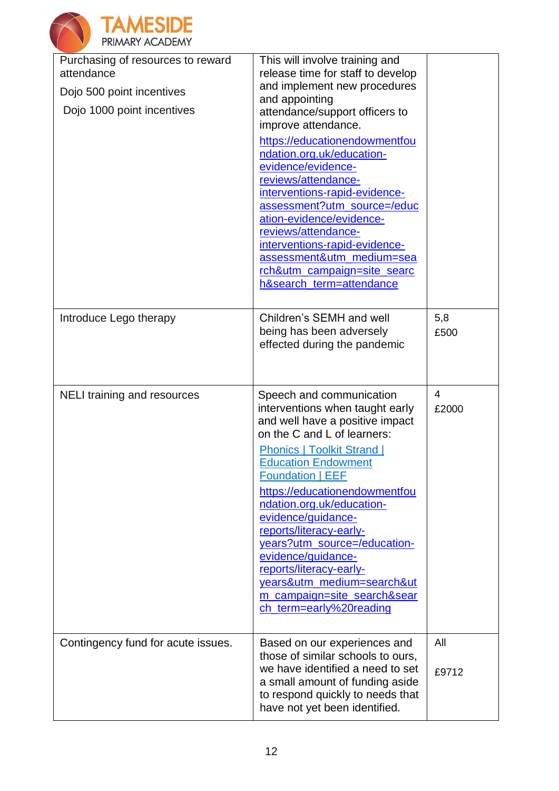

| Purchasing of resources to reward<br>attendance<br>Dojo 500 point incentives<br>Dojo 1000 point incentives | This will involve training and<br>release time for staff to develop<br>and implement new procedures<br>and appointing<br>attendance/support officers to<br>improve attendance.<br>https://educationendowmentfou<br>ndation.org.uk/education-<br>evidence/evidence-<br>reviews/attendance-<br>interventions-rapid-evidence-<br>assessment?utm_source=/educ<br>ation-evidence/evidence-<br>reviews/attendance-<br>interventions-rapid-evidence-<br>assessment&utm_medium=sea<br>rch&utm_campaign=site_searc<br>h&search_term=attendance |              |
|------------------------------------------------------------------------------------------------------------|---------------------------------------------------------------------------------------------------------------------------------------------------------------------------------------------------------------------------------------------------------------------------------------------------------------------------------------------------------------------------------------------------------------------------------------------------------------------------------------------------------------------------------------|--------------|
| Introduce Lego therapy                                                                                     | Children's SEMH and well<br>being has been adversely<br>effected during the pandemic                                                                                                                                                                                                                                                                                                                                                                                                                                                  | 5,8<br>£500  |
| NELI training and resources                                                                                | Speech and communication<br>interventions when taught early<br>and well have a positive impact<br>on the C and L of learners:<br><b>Phonics   Toolkit Strand  </b><br><b>Education Endowment</b><br><b>Foundation   EEF</b><br>https://educationendowmentfou<br>ndation.org.uk/education-<br>evidence/guidance-<br>reports/literacy-early-<br>years?utm_source=/education-<br>evidence/guidance-<br>reports/literacy-early-<br>years&utm_medium=search&ut<br>m campaign=site search&sear<br>ch_term=early%20reading                   | 4<br>£2000   |
| Contingency fund for acute issues.                                                                         | Based on our experiences and<br>those of similar schools to ours,<br>we have identified a need to set<br>a small amount of funding aside<br>to respond quickly to needs that<br>have not yet been identified.                                                                                                                                                                                                                                                                                                                         | All<br>£9712 |